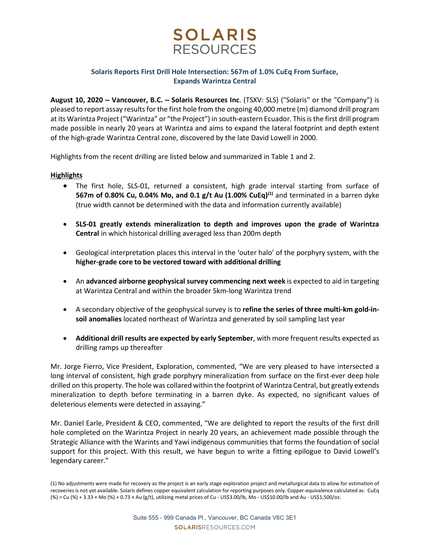

## Solaris Reports First Drill Hole Intersection: 567m of 1.0% CuEq From Surface, Expands Warintza Central

August 10, 2020 – Vancouver, B.C. – Solaris Resources Inc. (TSXV: SLS) ("Solaris" or the "Company") is pleased to report assay results for the first hole from the ongoing 40,000 metre (m) diamond drill program at its Warintza Project ("Warintza" or "the Project") in south-eastern Ecuador. This is the first drill program made possible in nearly 20 years at Warintza and aims to expand the lateral footprint and depth extent of the high-grade Warintza Central zone, discovered by the late David Lowell in 2000.

Highlights from the recent drilling are listed below and summarized in Table 1 and 2.

## **Highlights**

- The first hole, SLS-01, returned a consistent, high grade interval starting from surface of 567m of 0.80% Cu, 0.04% Mo, and 0.1 g/t Au  $(1.00%$  CuEq)<sup>(1)</sup> and terminated in a barren dyke (true width cannot be determined with the data and information currently available)
- SLS-01 greatly extends mineralization to depth and improves upon the grade of Warintza Central in which historical drilling averaged less than 200m depth
- Geological interpretation places this interval in the 'outer halo' of the porphyry system, with the higher-grade core to be vectored toward with additional drilling
- An advanced airborne geophysical survey commencing next week is expected to aid in targeting at Warintza Central and within the broader 5km-long Warintza trend
- A secondary objective of the geophysical survey is to refine the series of three multi-km gold-insoil anomalies located northeast of Warintza and generated by soil sampling last year
- Additional drill results are expected by early September, with more frequent results expected as drilling ramps up thereafter

Mr. Jorge Fierro, Vice President, Exploration, commented, "We are very pleased to have intersected a long interval of consistent, high grade porphyry mineralization from surface on the first-ever deep hole drilled on this property. The hole was collared within the footprint of Warintza Central, but greatly extends mineralization to depth before terminating in a barren dyke. As expected, no significant values of deleterious elements were detected in assaying."

Mr. Daniel Earle, President & CEO, commented, "We are delighted to report the results of the first drill hole completed on the Warintza Project in nearly 20 years, an achievement made possible through the Strategic Alliance with the Warints and Yawi indigenous communities that forms the foundation of social support for this project. With this result, we have begun to write a fitting epilogue to David Lowell's legendary career."

<sup>(1)</sup> No adjustments were made for recovery as the project is an early stage exploration project and metallurgical data to allow for estimation of recoveries is not yet available. Solaris defines copper equivalent calculation for reporting purposes only. Copper-equivalence calculated as: CuEq (%) = Cu (%) + 3.33 × Mo (%) + 0.73 × Au (g/t), utilizing metal prices of Cu - US\$3.00/lb, Mo - US\$10.00/lb and Au - US\$1,500/oz.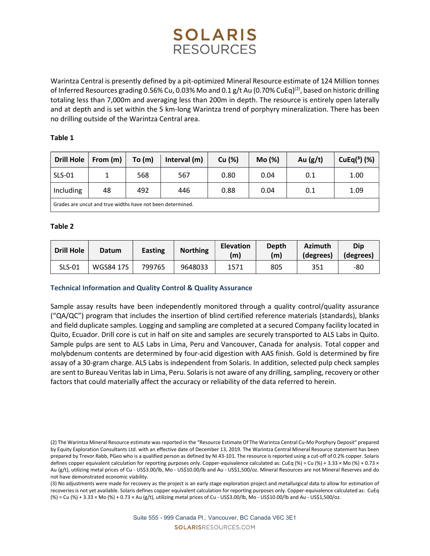# **SOLARIS RESOURCES**

Warintza Central is presently defined by a pit-optimized Mineral Resource estimate of 124 Million tonnes of Inferred Resources grading 0.56% Cu, 0.03% Mo and 0.1 g/t Au (0.70% CuEq)<sup>(2)</sup>, based on historic drilling totaling less than 7,000m and averaging less than 200m in depth. The resource is entirely open laterally and at depth and is set within the 5 km-long Warintza trend of porphyry mineralization. There has been no drilling outside of the Warintza Central area.

## Table 1

| <b>Drill Hole</b>                                          | From (m) | To(m) | Interval (m) | Cu (%) | Mo (%) | Au $(g/t)$ | $CuEq3$ (%) |  |  |  |
|------------------------------------------------------------|----------|-------|--------------|--------|--------|------------|-------------|--|--|--|
| <b>SLS-01</b>                                              |          | 568   | 567          | 0.80   | 0.04   | 0.1        | 1.00        |  |  |  |
| Including                                                  | 48       | 492   | 446          | 0.88   | 0.04   | 0.1        | 1.09        |  |  |  |
| Grades are uncut and true widths have not been determined. |          |       |              |        |        |            |             |  |  |  |

## Table 2

| <b>Drill Hole</b> | Datum            | Easting | <b>Northing</b> | <b>Elevation</b><br>(m | Depth<br>(m) | <b>Azimuth</b><br>(degrees) | Dip<br>(degrees) |
|-------------------|------------------|---------|-----------------|------------------------|--------------|-----------------------------|------------------|
| <b>SLS-01</b>     | <b>WGS84 17S</b> | 799765  | 9648033         | 1571                   | 805          | 351                         | -80              |

## Technical Information and Quality Control & Quality Assurance

Sample assay results have been independently monitored through a quality control/quality assurance ("QA/QC") program that includes the insertion of blind certified reference materials (standards), blanks and field duplicate samples. Logging and sampling are completed at a secured Company facility located in Quito, Ecuador. Drill core is cut in half on site and samples are securely transported to ALS Labs in Quito. Sample pulps are sent to ALS Labs in Lima, Peru and Vancouver, Canada for analysis. Total copper and molybdenum contents are determined by four-acid digestion with AAS finish. Gold is determined by fire assay of a 30-gram charge. ALS Labs is independent from Solaris. In addition, selected pulp check samples are sent to Bureau Veritas lab in Lima, Peru. Solaris is not aware of any drilling, sampling, recovery or other factors that could materially affect the accuracy or reliability of the data referred to herein.

(3) No adjustments were made for recovery as the project is an early stage exploration project and metallurgical data to allow for estimation of recoveries is not yet available. Solaris defines copper equivalent calculation for reporting purposes only. Copper-equivalence calculated as: CuEq (%) = Cu (%) + 3.33 × Mo (%) + 0.73 × Au (g/t), utilizing metal prices of Cu - US\$3.00/lb, Mo - US\$10.00/lb and Au - US\$1,500/oz.

<sup>(2)</sup> The Warintza Mineral Resource estimate was reported in the "Resource Estimate Of The Warintza Central Cu-Mo Porphyry Deposit" prepared by Equity Exploration Consultants Ltd. with an effective date of December 13, 2019. The Warintza Central Mineral Resource statement has been prepared by Trevor Rabb, PGeo who is a qualified person as defined by NI 43-101. The resource is reported using a cut-off of 0.2% copper. Solaris defines copper equivalent calculation for reporting purposes only. Copper-equivalence calculated as: CuEq (%) = Cu (%) + 3.33 × Mo (%) + 0.73 × Au (g/t), utilizing metal prices of Cu - US\$3.00/lb, Mo - US\$10.00/lb and Au - US\$1,500/oz. Mineral Resources are not Mineral Reserves and do not have demonstrated economic viability.